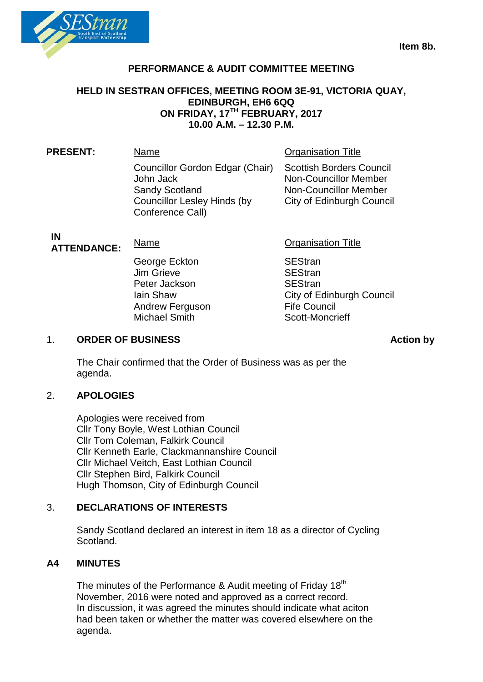

# **PERFORMANCE & AUDIT COMMITTEE MEETING**

## **HELD IN SESTRAN OFFICES, MEETING ROOM 3E-91, VICTORIA QUAY, EDINBURGH, EH6 6QQ ON FRIDAY, 17TH FEBRUARY, 2017 10.00 A.M. – 12.30 P.M.**

| <b>PRESENT:</b> | Name                                                                                                                            | <b>Organisation Title</b>                                                                                                           |
|-----------------|---------------------------------------------------------------------------------------------------------------------------------|-------------------------------------------------------------------------------------------------------------------------------------|
|                 | Councillor Gordon Edgar (Chair)<br>John Jack<br><b>Sandy Scotland</b><br><b>Councillor Lesley Hinds (by</b><br>Conference Call) | <b>Scottish Borders Council</b><br><b>Non-Councillor Member</b><br><b>Non-Councillor Member</b><br><b>City of Edinburgh Council</b> |
|                 |                                                                                                                                 |                                                                                                                                     |

**IN<br>ATTENDANCE:** 

George Eckton SEStran<br>
Um Grieve SEStran Jim Grieve Peter Jackson SEStran Andrew Ferguson Fife Council<br>Michael Smith Scott-Moncrieff Michael Smith

**Name Construction Construction Title** 

Iain Shaw<br>
Andrew Ferguson<br>
Andrew Ferguson<br>
City of Edinburgh Council

#### 1. ORDER OF BUSINESS **Action by**

The Chair confirmed that the Order of Business was as per the agenda.

## 2. **APOLOGIES**

Apologies were received from Cllr Tony Boyle, West Lothian Council Cllr Tom Coleman, Falkirk Council Cllr Kenneth Earle, Clackmannanshire Council Cllr Michael Veitch, East Lothian Council Cllr Stephen Bird, Falkirk Council Hugh Thomson, City of Edinburgh Council

## 3. **DECLARATIONS OF INTERESTS**

Sandy Scotland declared an interest in item 18 as a director of Cycling Scotland.

## **A4 MINUTES**

The minutes of the Performance & Audit meeting of Friday 18<sup>th</sup> November, 2016 were noted and approved as a correct record. In discussion, it was agreed the minutes should indicate what aciton had been taken or whether the matter was covered elsewhere on the agenda.

**Item 8b.**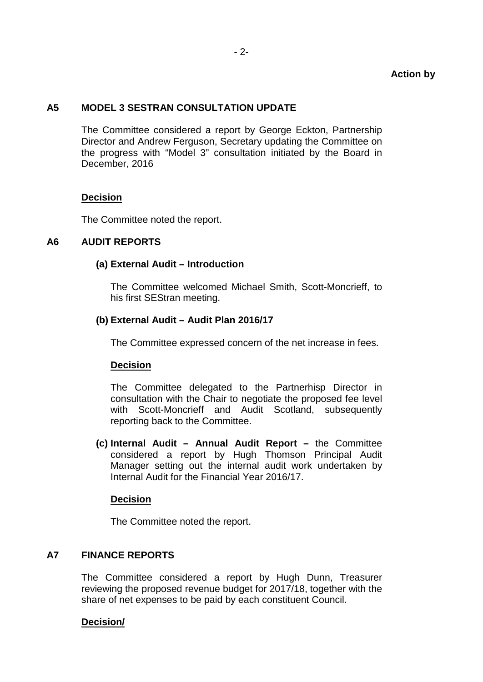## **A5 MODEL 3 SESTRAN CONSULTATION UPDATE**

The Committee considered a report by George Eckton, Partnership Director and Andrew Ferguson, Secretary updating the Committee on the progress with "Model 3" consultation initiated by the Board in December, 2016

## **Decision**

The Committee noted the report.

# **A6 AUDIT REPORTS**

## **(a) External Audit – Introduction**

The Committee welcomed Michael Smith, Scott-Moncrieff, to his first SEStran meeting.

## **(b) External Audit – Audit Plan 2016/17**

The Committee expressed concern of the net increase in fees.

## **Decision**

The Committee delegated to the Partnerhisp Director in consultation with the Chair to negotiate the proposed fee level with Scott-Moncrieff and Audit Scotland, subsequently reporting back to the Committee.

**(c) Internal Audit – Annual Audit Report –** the Committee considered a report by Hugh Thomson Principal Audit Manager setting out the internal audit work undertaken by Internal Audit for the Financial Year 2016/17.

## **Decision**

The Committee noted the report.

## **A7 FINANCE REPORTS**

The Committee considered a report by Hugh Dunn, Treasurer reviewing the proposed revenue budget for 2017/18, together with the share of net expenses to be paid by each constituent Council.

## **Decision/**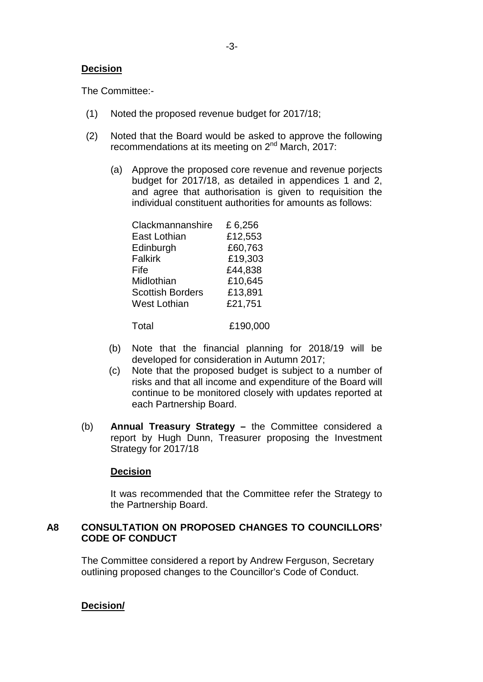The Committee:-

- (1) Noted the proposed revenue budget for 2017/18;
- (2) Noted that the Board would be asked to approve the following recommendations at its meeting on 2<sup>nd</sup> March, 2017:
	- (a) Approve the proposed core revenue and revenue porjects budget for 2017/18, as detailed in appendices 1 and 2, and agree that authorisation is given to requisition the individual constituent authorities for amounts as follows:

| Clackmannanshire        | £6,256   |
|-------------------------|----------|
| East Lothian            | £12,553  |
| Edinburgh               | £60,763  |
| <b>Falkirk</b>          | £19,303  |
| Fife                    | £44,838  |
| Midlothian              | £10,645  |
| <b>Scottish Borders</b> | £13,891  |
| West Lothian            | £21,751  |
|                         |          |
| Total                   | £190,000 |

- (b) Note that the financial planning for 2018/19 will be
- developed for consideration in Autumn 2017; (c) Note that the proposed budget is subject to a number of risks and that all income and expenditure of the Board will continue to be monitored closely with updates reported at each Partnership Board.
- (b) **Annual Treasury Strategy –** the Committee considered a report by Hugh Dunn, Treasurer proposing the Investment Strategy for 2017/18

## **Decision**

It was recommended that the Committee refer the Strategy to the Partnership Board.

## **A8 CONSULTATION ON PROPOSED CHANGES TO COUNCILLORS' CODE OF CONDUCT**

The Committee considered a report by Andrew Ferguson, Secretary outlining proposed changes to the Councillor's Code of Conduct.

## **Decision/**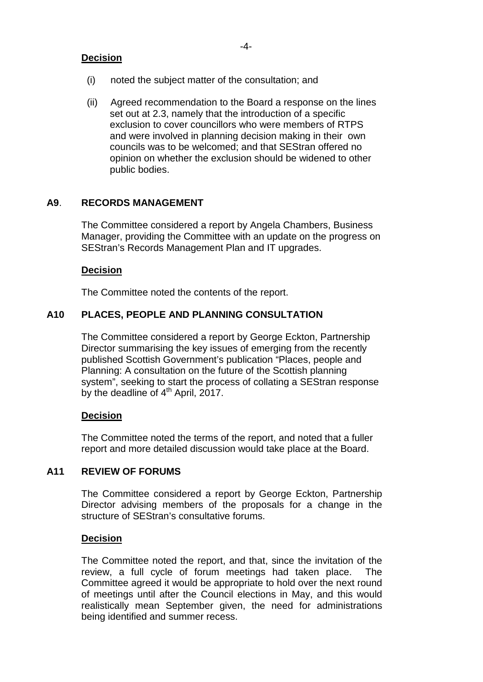- (i) noted the subject matter of the consultation; and
- (ii) Agreed recommendation to the Board a response on the lines set out at 2.3, namely that the introduction of a specific exclusion to cover councillors who were members of RTPS and were involved in planning decision making in their own councils was to be welcomed; and that SEStran offered no opinion on whether the exclusion should be widened to other public bodies.

## **A9**. **RECORDS MANAGEMENT**

The Committee considered a report by Angela Chambers, Business Manager, providing the Committee with an update on the progress on SEStran's Records Management Plan and IT upgrades.

## **Decision**

The Committee noted the contents of the report.

## **A10 PLACES, PEOPLE AND PLANNING CONSULTATION**

The Committee considered a report by George Eckton, Partnership Director summarising the key issues of emerging from the recently published Scottish Government's publication "Places, people and Planning: A consultation on the future of the Scottish planning system", seeking to start the process of collating a SEStran response by the deadline of  $4<sup>th</sup>$  April, 2017.

## **Decision**

The Committee noted the terms of the report, and noted that a fuller report and more detailed discussion would take place at the Board.

## **A11 REVIEW OF FORUMS**

The Committee considered a report by George Eckton, Partnership Director advising members of the proposals for a change in the structure of SEStran's consultative forums.

#### **Decision**

The Committee noted the report, and that, since the invitation of the review, a full cycle of forum meetings had taken place. The Committee agreed it would be appropriate to hold over the next round of meetings until after the Council elections in May, and this would realistically mean September given, the need for administrations being identified and summer recess.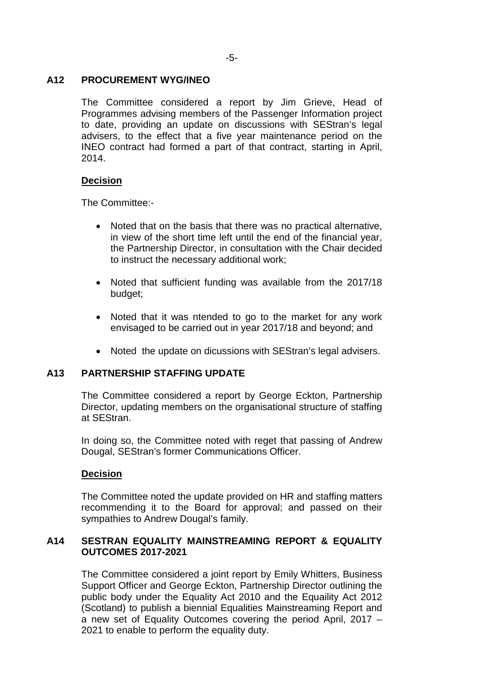## **A12 PROCUREMENT WYG/INEO**

The Committee considered a report by Jim Grieve, Head of Programmes advising members of the Passenger Information project to date, providing an update on discussions with SEStran's legal advisers, to the effect that a five year maintenance period on the INEO contract had formed a part of that contract, starting in April, 2014.

## **Decision**

The Committee:-

- Noted that on the basis that there was no practical alternative, in view of the short time left until the end of the financial year, the Partnership Director, in consultation with the Chair decided to instruct the necessary additional work;
- Noted that sufficient funding was available from the 2017/18 budget;
- Noted that it was ntended to go to the market for any work envisaged to be carried out in year 2017/18 and beyond; and
- Noted the update on dicussions with SEStran's legal advisers.

# **A13 PARTNERSHIP STAFFING UPDATE**

The Committee considered a report by George Eckton, Partnership Director, updating members on the organisational structure of staffing at SEStran.

In doing so, the Committee noted with reget that passing of Andrew Dougal, SEStran's former Communications Officer.

#### **Decision**

The Committee noted the update provided on HR and staffing matters recommending it to the Board for approval; and passed on their sympathies to Andrew Dougal's family.

# **A14 SESTRAN EQUALITY MAINSTREAMING REPORT & EQUALITY OUTCOMES 2017-2021**

The Committee considered a joint report by Emily Whitters, Business Support Officer and George Eckton, Partnership Director outlining the public body under the Equality Act 2010 and the Equaility Act 2012 (Scotland) to publish a biennial Equalities Mainstreaming Report and a new set of Equality Outcomes covering the period April, 2017 – 2021 to enable to perform the equality duty.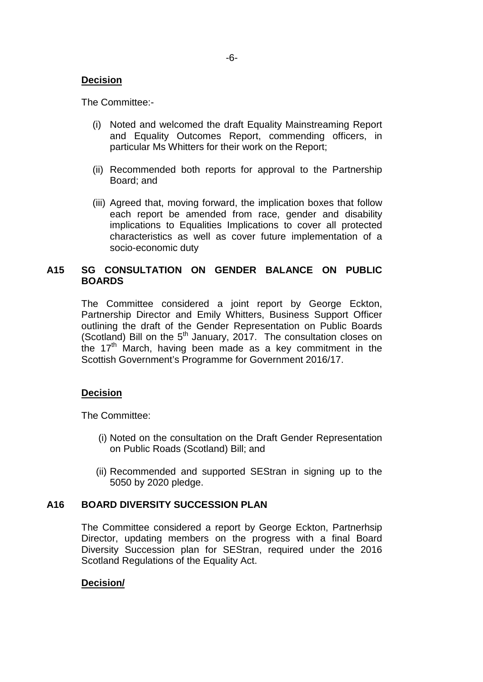The Committee:-

- (i) Noted and welcomed the draft Equality Mainstreaming Report and Equality Outcomes Report, commending officers, in particular Ms Whitters for their work on the Report;
- (ii) Recommended both reports for approval to the Partnership Board; and
- (iii) Agreed that, moving forward, the implication boxes that follow each report be amended from race, gender and disability implications to Equalities Implications to cover all protected characteristics as well as cover future implementation of a socio-economic duty

## **A15 SG CONSULTATION ON GENDER BALANCE ON PUBLIC BOARDS**

The Committee considered a joint report by George Eckton, Partnership Director and Emily Whitters, Business Support Officer outlining the draft of the Gender Representation on Public Boards (Scotland) Bill on the  $5<sup>th</sup>$  January, 2017. The consultation closes on the  $17<sup>th</sup>$  March, having been made as a key commitment in the Scottish Government's Programme for Government 2016/17.

## **Decision**

The Committee:

- (i) Noted on the consultation on the Draft Gender Representation on Public Roads (Scotland) Bill; and
- (ii) Recommended and supported SEStran in signing up to the 5050 by 2020 pledge.

#### **A16 BOARD DIVERSITY SUCCESSION PLAN**

The Committee considered a report by George Eckton, Partnerhsip Director, updating members on the progress with a final Board Diversity Succession plan for SEStran, required under the 2016 Scotland Regulations of the Equality Act.

#### **Decision/**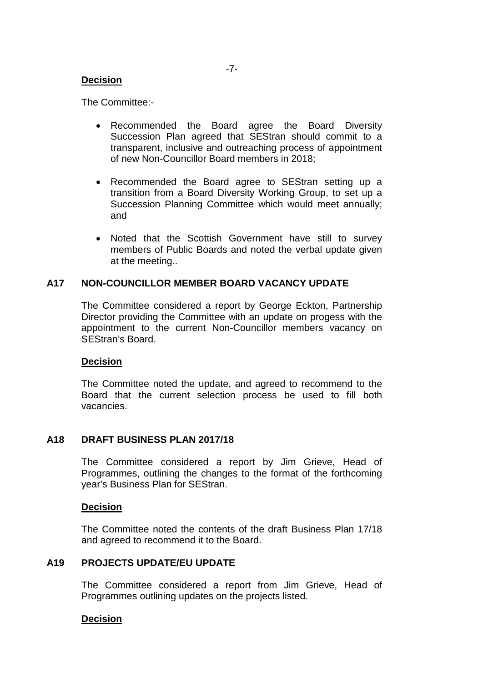The Committee:-

- Recommended the Board agree the Board Diversity Succession Plan agreed that SEStran should commit to a transparent, inclusive and outreaching process of appointment of new Non-Councillor Board members in 2018;
- Recommended the Board agree to SEStran setting up a transition from a Board Diversity Working Group, to set up a Succession Planning Committee which would meet annually; and
- Noted that the Scottish Government have still to survey members of Public Boards and noted the verbal update given at the meeting..

## **A17 NON-COUNCILLOR MEMBER BOARD VACANCY UPDATE**

The Committee considered a report by George Eckton, Partnership Director providing the Committee with an update on progess with the appointment to the current Non-Councillor members vacancy on SEStran's Board.

#### **Decision**

The Committee noted the update, and agreed to recommend to the Board that the current selection process be used to fill both vacancies.

## **A18 DRAFT BUSINESS PLAN 2017/18**

The Committee considered a report by Jim Grieve, Head of Programmes, outlining the changes to the format of the forthcoming year's Business Plan for SEStran.

#### **Decision**

The Committee noted the contents of the draft Business Plan 17/18 and agreed to recommend it to the Board.

### **A19 PROJECTS UPDATE/EU UPDATE**

The Committee considered a report from Jim Grieve, Head of Programmes outlining updates on the projects listed.

#### **Decision**